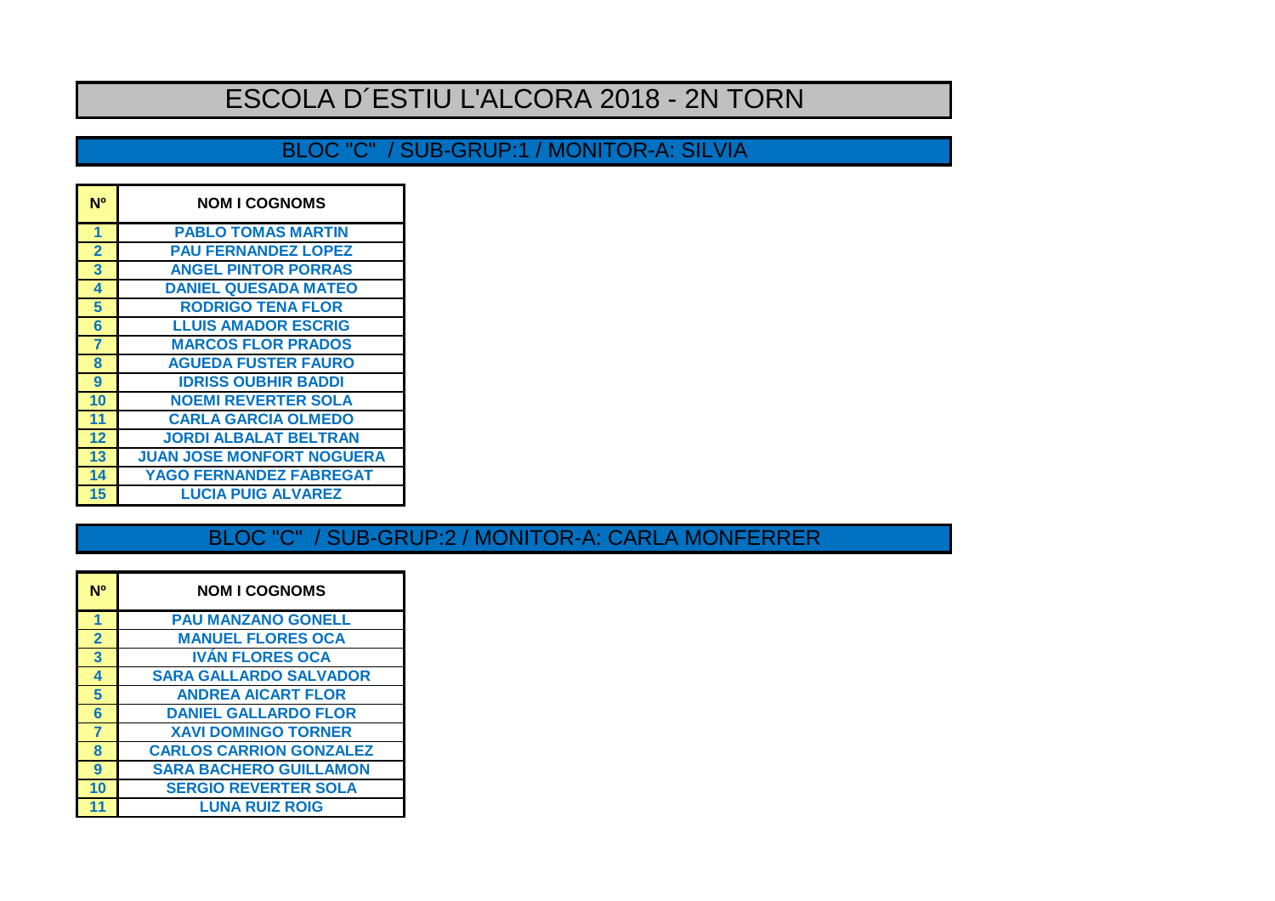# ESCOLA D´ESTIU L'ALCORA 2018 - 2N TORN

### BLOC "C" / SUB-GRUP:1 / MONITOR-A: SILVIA

| N <sup>o</sup> | <b>NOM I COGNOMS</b>             |
|----------------|----------------------------------|
| 1              | <b>PABLO TOMAS MARTIN</b>        |
| $\overline{2}$ | <b>PAU FERNANDEZ LOPEZ</b>       |
| 3              | <b>ANGEL PINTOR PORRAS</b>       |
| 4              | <b>DANIEL QUESADA MATEO</b>      |
| 5              | <b>RODRIGO TENA FLOR</b>         |
| 6              | <b>LLUIS AMADOR ESCRIG</b>       |
| 7              | <b>MARCOS FLOR PRADOS</b>        |
| 8              | <b>AGUEDA FUSTER FAURO</b>       |
| 9              | <b>IDRISS OUBHIR BADDI</b>       |
| 10             | <b>NOEMI REVERTER SOLA</b>       |
| 11             | <b>CARLA GARCIA OLMEDO</b>       |
| 12             | <b>JORDI ALBALAT BELTRAN</b>     |
| 13             | <b>JUAN JOSE MONFORT NOGUERA</b> |
| 14             | <b>YAGO FERNANDEZ FABREGAT</b>   |
| 15             | <b>LUCIA PUIG ALVAREZ</b>        |

#### BLOC "C" / SUB-GRUP:2 / MONITOR-A: CARLA MONFERRER

| N <sub>0</sub> | <b>NOM I COGNOMS</b>           |
|----------------|--------------------------------|
| 1              | <b>PAU MANZANO GONELL</b>      |
| $\overline{2}$ | <b>MANUEL FLORES OCA</b>       |
| 3              | <b>IVAN FLORES OCA</b>         |
| 4              | <b>SARA GALLARDO SALVADOR</b>  |
| 5              | <b>ANDREA AICART FLOR</b>      |
| 6              | <b>DANIEL GALLARDO FLOR</b>    |
| 7              | <b>XAVI DOMINGO TORNER</b>     |
| 8              | <b>CARLOS CARRION GONZALEZ</b> |
| 9              | <b>SARA BACHERO GUILLAMON</b>  |
| 10             | <b>SERGIO REVERTER SOLA</b>    |
| 11             | <b>LUNA RUIZ ROIG</b>          |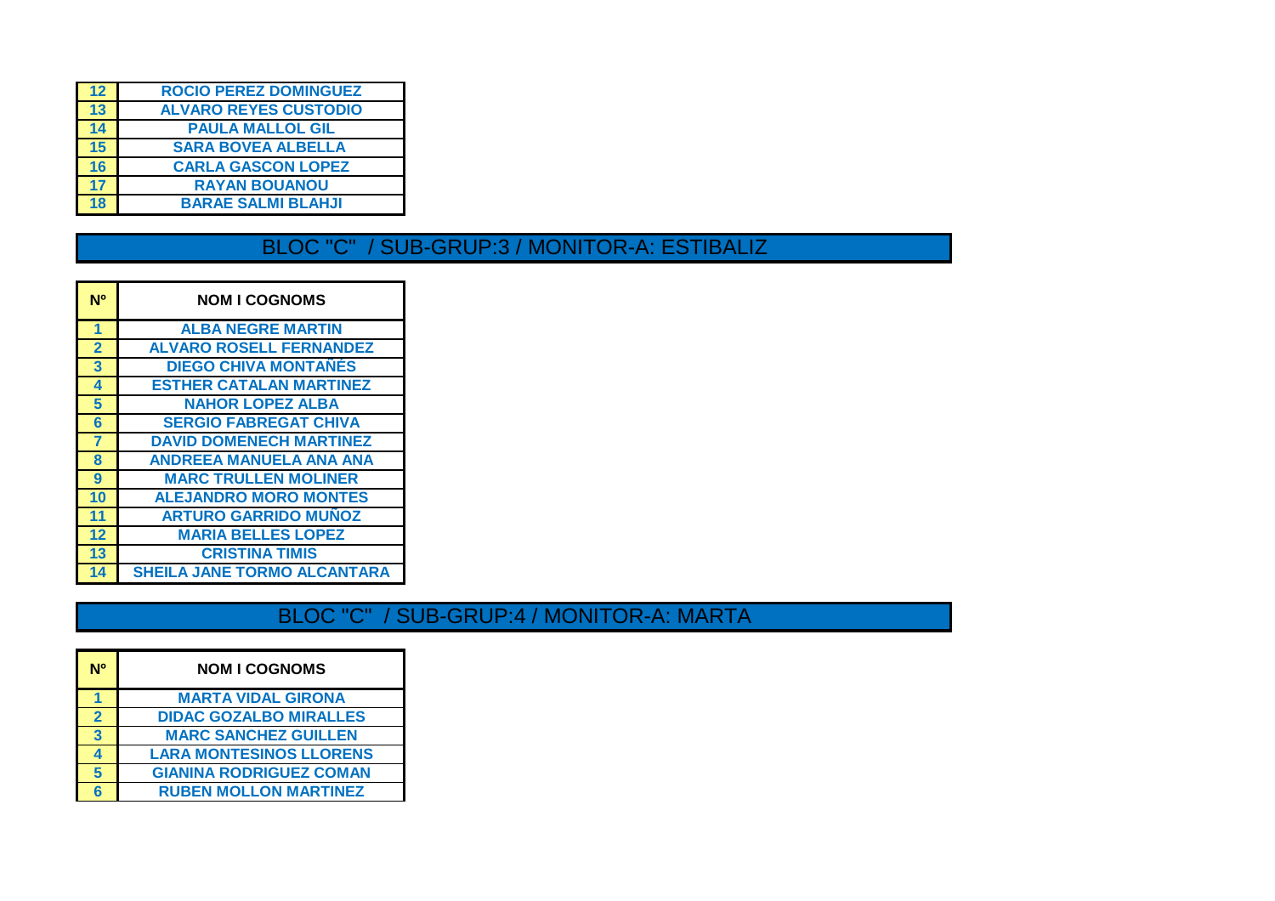| 12 | <b>ROCIO PEREZ DOMINGUEZ</b> |
|----|------------------------------|
| 13 | <b>ALVARO REYES CUSTODIO</b> |
| 14 | <b>PAULA MALLOL GIL</b>      |
| 15 | <b>SARA BOVEA ALBELLA</b>    |
| 16 | <b>CARLA GASCON LOPEZ</b>    |
| 17 | <b>RAYAN BOUANOU</b>         |
| 18 | <b>BARAE SALMI BLAHJI</b>    |
|    |                              |

### BLOC "C" / SUB-GRUP:3 / MONITOR-A: ESTIBALIZ

| N <sup>o</sup> | <b>NOM I COGNOMS</b>               |
|----------------|------------------------------------|
| 1              | <b>ALBA NEGRE MARTIN</b>           |
| $\overline{2}$ | <b>ALVARO ROSELL FERNANDEZ</b>     |
| 3              | <b>DIEGO CHIVA MONTAÑÉS</b>        |
| 4              | <b>ESTHER CATALAN MARTINEZ</b>     |
| 5              | <b>NAHOR LOPEZ ALBA</b>            |
| 6              | <b>SERGIO FABREGAT CHIVA</b>       |
| $\overline{7}$ | <b>DAVID DOMENECH MARTINEZ</b>     |
| 8              | <b>ANDREEA MANUELA ANA ANA</b>     |
| 9              | <b>MARC TRULLEN MOLINER</b>        |
| 10             | <b>ALEJANDRO MORO MONTES</b>       |
| 11             | <b>ARTURO GARRIDO MUÑOZ</b>        |
| 12             | <b>MARIA BELLES LOPEZ</b>          |
| 13             | <b>CRISTINA TIMIS</b>              |
| 14             | <b>SHEILA JANE TORMO ALCANTARA</b> |

## BLOC "C" / SUB-GRUP:4 / MONITOR-A: MARTA

| N٥             | <b>NOM I COGNOMS</b>           |
|----------------|--------------------------------|
|                | <b>MARTA VIDAL GIRONA</b>      |
| $\overline{2}$ | <b>DIDAC GOZALBO MIRALLES</b>  |
| 3              | <b>MARC SANCHEZ GUILLEN</b>    |
|                | <b>LARA MONTESINOS LLORENS</b> |
| 5              | <b>GIANINA RODRIGUEZ COMAN</b> |
|                | <b>RUBEN MOLLON MARTINEZ</b>   |